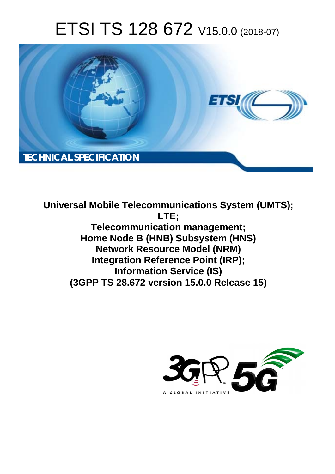# ETSI TS 128 672 V15.0.0 (2018-07)



**Universal Mobile Telecommunications System (UMTS); LTE; Telecommunication management; Home Node B (HNB) Subsystem (HNS) Network Resource Model (NRM) Integration Reference Point (IRP); Information Service (IS) (3GPP TS 28.672 version 15.0.0 Release 15)** 

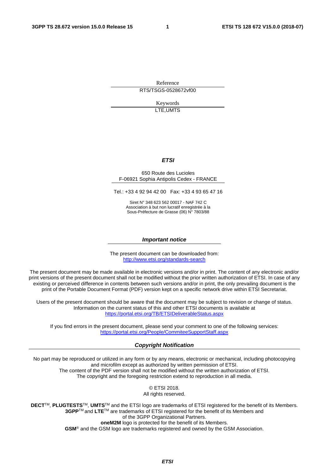Reference RTS/TSGS-0528672vf00

> Keywords LTE,UMTS

#### *ETSI*

#### 650 Route des Lucioles F-06921 Sophia Antipolis Cedex - FRANCE

Tel.: +33 4 92 94 42 00 Fax: +33 4 93 65 47 16

Siret N° 348 623 562 00017 - NAF 742 C Association à but non lucratif enregistrée à la Sous-Préfecture de Grasse (06) N° 7803/88

#### *Important notice*

The present document can be downloaded from: <http://www.etsi.org/standards-search>

The present document may be made available in electronic versions and/or in print. The content of any electronic and/or print versions of the present document shall not be modified without the prior written authorization of ETSI. In case of any existing or perceived difference in contents between such versions and/or in print, the only prevailing document is the print of the Portable Document Format (PDF) version kept on a specific network drive within ETSI Secretariat.

Users of the present document should be aware that the document may be subject to revision or change of status. Information on the current status of this and other ETSI documents is available at <https://portal.etsi.org/TB/ETSIDeliverableStatus.aspx>

If you find errors in the present document, please send your comment to one of the following services: <https://portal.etsi.org/People/CommiteeSupportStaff.aspx>

#### *Copyright Notification*

No part may be reproduced or utilized in any form or by any means, electronic or mechanical, including photocopying and microfilm except as authorized by written permission of ETSI. The content of the PDF version shall not be modified without the written authorization of ETSI. The copyright and the foregoing restriction extend to reproduction in all media.

> © ETSI 2018. All rights reserved.

**DECT**TM, **PLUGTESTS**TM, **UMTS**TM and the ETSI logo are trademarks of ETSI registered for the benefit of its Members. **3GPP**TM and **LTE**TM are trademarks of ETSI registered for the benefit of its Members and of the 3GPP Organizational Partners. **oneM2M** logo is protected for the benefit of its Members.

**GSM**® and the GSM logo are trademarks registered and owned by the GSM Association.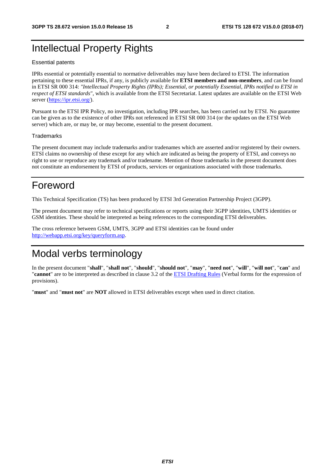# Intellectual Property Rights

#### Essential patents

IPRs essential or potentially essential to normative deliverables may have been declared to ETSI. The information pertaining to these essential IPRs, if any, is publicly available for **ETSI members and non-members**, and can be found in ETSI SR 000 314: *"Intellectual Property Rights (IPRs); Essential, or potentially Essential, IPRs notified to ETSI in respect of ETSI standards"*, which is available from the ETSI Secretariat. Latest updates are available on the ETSI Web server ([https://ipr.etsi.org/\)](https://ipr.etsi.org/).

Pursuant to the ETSI IPR Policy, no investigation, including IPR searches, has been carried out by ETSI. No guarantee can be given as to the existence of other IPRs not referenced in ETSI SR 000 314 (or the updates on the ETSI Web server) which are, or may be, or may become, essential to the present document.

#### **Trademarks**

The present document may include trademarks and/or tradenames which are asserted and/or registered by their owners. ETSI claims no ownership of these except for any which are indicated as being the property of ETSI, and conveys no right to use or reproduce any trademark and/or tradename. Mention of those trademarks in the present document does not constitute an endorsement by ETSI of products, services or organizations associated with those trademarks.

# Foreword

This Technical Specification (TS) has been produced by ETSI 3rd Generation Partnership Project (3GPP).

The present document may refer to technical specifications or reports using their 3GPP identities, UMTS identities or GSM identities. These should be interpreted as being references to the corresponding ETSI deliverables.

The cross reference between GSM, UMTS, 3GPP and ETSI identities can be found under [http://webapp.etsi.org/key/queryform.asp.](http://webapp.etsi.org/key/queryform.asp)

# Modal verbs terminology

In the present document "**shall**", "**shall not**", "**should**", "**should not**", "**may**", "**need not**", "**will**", "**will not**", "**can**" and "**cannot**" are to be interpreted as described in clause 3.2 of the [ETSI Drafting Rules](https://portal.etsi.org/Services/editHelp!/Howtostart/ETSIDraftingRules.aspx) (Verbal forms for the expression of provisions).

"**must**" and "**must not**" are **NOT** allowed in ETSI deliverables except when used in direct citation.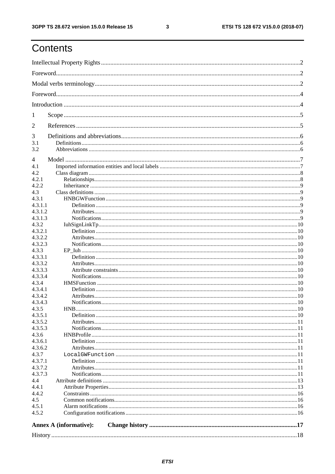$\mathbf{3}$ 

# Contents

| 1                  |                               |  |
|--------------------|-------------------------------|--|
| 2                  |                               |  |
| 3                  |                               |  |
| 3.1<br>3.2         |                               |  |
| 4                  |                               |  |
| 4.1                |                               |  |
| 4.2                |                               |  |
| 4.2.1              |                               |  |
| 4.2.2              |                               |  |
| 4.3                |                               |  |
| 4.3.1              |                               |  |
| 4.3.1.1            |                               |  |
| 4.3.1.2            |                               |  |
| 4.3.1.3            |                               |  |
| 4.3.2              |                               |  |
| 4.3.2.1            |                               |  |
| 4.3.2.2            |                               |  |
| 4.3.2.3            |                               |  |
| 4.3.3              |                               |  |
| 4.3.3.1            |                               |  |
| 4.3.3.2            |                               |  |
| 4.3.3.3            |                               |  |
| 4.3.3.4            |                               |  |
| 4.3.4              |                               |  |
| 4.3.4.1            |                               |  |
| 4.3.4.2            |                               |  |
| 4.3.4.3            |                               |  |
| 4.3.5              |                               |  |
| 4.3.5.1            |                               |  |
| 4.3.5.2            |                               |  |
| 4.3.5.3            |                               |  |
| 4.3.6              |                               |  |
| 4.3.6.1<br>4.3.6.2 |                               |  |
| 4.3.7              |                               |  |
| 4.3.7.1            |                               |  |
| 4.3.7.2            |                               |  |
| 4.3.7.3            |                               |  |
| 4.4                |                               |  |
| 4.4.1              |                               |  |
| 4.4.2              |                               |  |
| 4.5                |                               |  |
| 4.5.1              |                               |  |
| 4.5.2              |                               |  |
|                    | <b>Annex A (informative):</b> |  |
|                    |                               |  |
|                    |                               |  |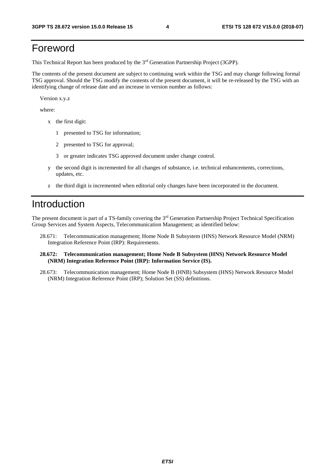# Foreword

This Technical Report has been produced by the 3rd Generation Partnership Project (3GPP).

The contents of the present document are subject to continuing work within the TSG and may change following formal TSG approval. Should the TSG modify the contents of the present document, it will be re-released by the TSG with an identifying change of release date and an increase in version number as follows:

Version x.y.z

where:

- x the first digit:
	- 1 presented to TSG for information;
	- 2 presented to TSG for approval;
	- 3 or greater indicates TSG approved document under change control.
- y the second digit is incremented for all changes of substance, i.e. technical enhancements, corrections, updates, etc.
- z the third digit is incremented when editorial only changes have been incorporated in the document.

# Introduction

The present document is part of a TS-family covering the 3rd Generation Partnership Project Technical Specification Group Services and System Aspects, Telecommunication Management; as identified below:

- 28.671: Telecommunication management; Home Node B Subsystem (HNS) Network Resource Model (NRM) Integration Reference Point (IRP): Requirements.
- **28.672: Telecommunication management; Home Node B Subsystem (HNS) Network Resource Model (NRM) Integration Reference Point (IRP): Information Service (IS).**
- 28.673: Telecommunication management; Home Node B (HNB) Subsystem (HNS) Network Resource Model (NRM) Integration Reference Point (IRP); Solution Set (SS) definitions.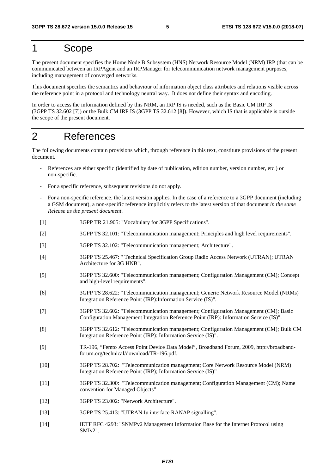# 1 Scope

The present document specifies the Home Node B Subsystem (HNS) Network Resource Model (NRM) IRP (that can be communicated between an IRPAgent and an IRPManager for telecommunication network management purposes, including management of converged networks.

This document specifies the semantics and behaviour of information object class attributes and relations visible across the reference point in a protocol and technology neutral way. It does not define their syntax and encoding.

In order to access the information defined by this NRM, an IRP IS is needed, such as the Basic CM IRP IS (3GPP TS 32.602 [7]) or the Bulk CM IRP IS (3GPP TS 32.612 [8]). However, which IS that is applicable is outside the scope of the present document.

# 2 References

The following documents contain provisions which, through reference in this text, constitute provisions of the present document.

- References are either specific (identified by date of publication, edition number, version number, etc.) or non-specific.
- For a specific reference, subsequent revisions do not apply.
- For a non-specific reference, the latest version applies. In the case of a reference to a 3GPP document (including a GSM document), a non-specific reference implicitly refers to the latest version of that document *in the same Release as the present document*.
- [1] 3GPP TR 21.905: "Vocabulary for 3GPP Specifications".
- [2] 3GPP TS 32.101: "Telecommunication management; Principles and high level requirements".
- [3] 3GPP TS 32.102: "Telecommunication management; Architecture".
- [4] 3GPP TS 25.467: " Technical Specification Group Radio Access Network (UTRAN); UTRAN Architecture for 3G HNB".
- [5] 3GPP TS 32.600: "Telecommunication management; Configuration Management (CM); Concept and high-level requirements".
- [6] 3GPP TS 28.622: "Telecommunication management; Generic Network Resource Model (NRMs) Integration Reference Point (IRP):Information Service (IS)".
- [7] 3GPP TS 32.602: "Telecommunication management; Configuration Management (CM); Basic Configuration Management Integration Reference Point (IRP): Information Service (IS)".
- [8] 3GPP TS 32.612: "Telecommunication management; Configuration Management (CM); Bulk CM Integration Reference Point (IRP): Information Service (IS)".
- [9] TR-196, "Femto Access Point Device Data Model", Broadband Forum, 2009, http://broadbandforum.org/technical/download/TR-196.pdf.
- [10] 3GPP TS 28.702: "Telecommunication management; Core Network Resource Model (NRM) Integration Reference Point (IRP); Information Service (IS)"
- [11] 3GPP TS 32.300: "Telecommunication management; Configuration Management (CM); Name convention for Managed Objects"
- [12] 3GPP TS 23.002: "Network Architecture".
- [13] 3GPP TS 25.413: "UTRAN Iu interface RANAP signalling".
- [14] IETF RFC 4293: "SNMPv2 Management Information Base for the Internet Protocol using SMIv2".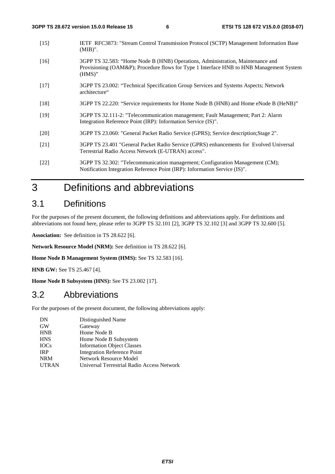- [15] IETF RFC3873: "Stream Control Transmission Protocol (SCTP) Management Information Base (MIB)".
- [16] 3GPP TS 32.583: "Home Node B (HNB) Operations, Administration, Maintenance and Provisioning (OAM&P); Procedure flows for Type 1 Interface HNB to HNB Management System (HMS)"
- [17] 3GPP TS 23.002: "Technical Specification Group Services and Systems Aspects; Network architecture"
- [18] 3GPP TS 22.220: "Service requirements for Home Node B (HNB) and Home eNode B (HeNB)"
- [19] 3GPP TS 32.111-2: "Telecommunication management; Fault Management; Part 2: Alarm Integration Reference Point (IRP): Information Service (IS)".
- [20] 3GPP TS 23.060: "General Packet Radio Service (GPRS); Service description;Stage 2".
- [21] 3GPP TS 23.401 "General Packet Radio Service (GPRS) enhancements for Evolved Universal Terrestrial Radio Access Network (E-UTRAN) access".

# 3 Definitions and abbreviations

### 3.1 Definitions

For the purposes of the present document, the following definitions and abbreviations apply. For definitions and abbreviations not found here, please refer to 3GPP TS 32.101 [2], 3GPP TS 32.102 [3] and 3GPP TS 32.600 [5].

**Association:** See definition in TS 28.622 [6].

**Network Resource Model (NRM):** See definition in TS 28.622 [6].

**Home Node B Management System (HMS):** See TS 32.583 [16].

**HNB GW:** See TS 25.467 [4].

**Home Node B Subsystem (HNS):** See TS 23.002 [17].

### 3.2 Abbreviations

For the purposes of the present document, the following abbreviations apply:

| DN           | Distinguished Name                         |
|--------------|--------------------------------------------|
| <b>GW</b>    | Gateway                                    |
| <b>HNB</b>   | Home Node B                                |
| <b>HNS</b>   | Home Node B Subsystem                      |
| <b>IOCs</b>  | <b>Information Object Classes</b>          |
| <b>IRP</b>   | Integration Reference Point                |
| <b>NRM</b>   | Network Resource Model                     |
| <b>UTRAN</b> | Universal Terrestrial Radio Access Network |

<sup>[22] 3</sup>GPP TS 32.302: "Telecommunication management; Configuration Management (CM); Notification Integration Reference Point (IRP): Information Service (IS)".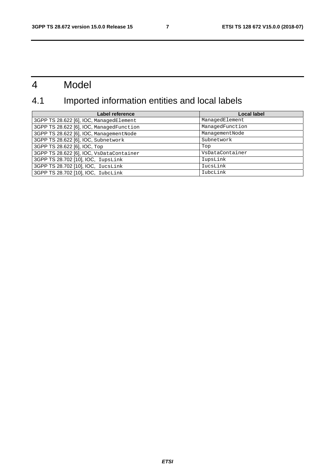# 4 Model

# 4.1 Imported information entities and local labels

| Label reference                          | <b>Local label</b> |
|------------------------------------------|--------------------|
| 3GPP TS 28.622 [6], IOC, ManagedElement  | ManagedElement     |
| 3GPP TS 28.622 [6], IOC, ManagedFunction | ManagedFunction    |
| 3GPP TS 28.622 [6], IOC, ManagementNode  | ManagementNode     |
| 3GPP TS 28.622 [6], IOC, Subnetwork      | Subnetwork         |
| 3GPP TS 28.622 [6], IOC, Top             | Top                |
| 3GPP TS 28.622 [6], IOC, VsDataContainer | VsDataContainer    |
| 3GPP TS 28.702 [10], IOC, IupsLink       | IupsLink           |
| 3GPP TS 28.702 [10], IOC, IucsLink       | IucsLink           |
| 3GPP TS 28.702 [10], IOC, IubcLink       | IubcLink           |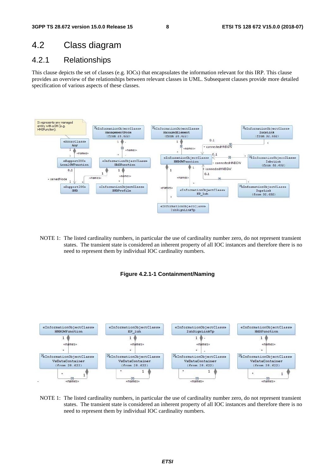# 4.2 Class diagram

### 4.2.1 Relationships

This clause depicts the set of classes (e.g. IOCs) that encapsulates the information relevant for this IRP. This clause provides an overview of the relationships between relevant classes in UML. Subsequent clauses provide more detailed specification of various aspects of these classes.



NOTE 1: The listed cardinality numbers, in particular the use of cardinality number zero, do not represent transient states. The transient state is considered an inherent property of all IOC instances and therefore there is no need to represent them by individual IOC cardinality numbers.





NOTE 1: The listed cardinality numbers, in particular the use of cardinality number zero, do not represent transient states. The transient state is considered an inherent property of all IOC instances and therefore there is no need to represent them by individual IOC cardinality numbers.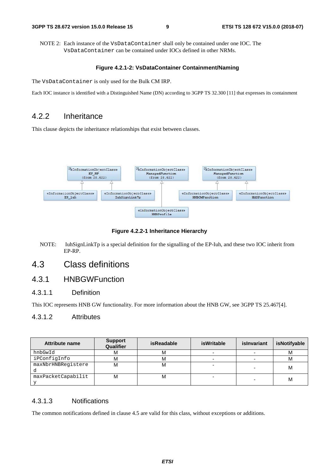NOTE 2: Each instance of the VsDataContainer shall only be contained under one IOC. The VsDataContainer can be contained under IOCs defined in other NRMs.

#### **Figure 4.2.1-2: VsDataContainer Containment/Naming**

The VsDataContainer is only used for the Bulk CM IRP.

Each IOC instance is identified with a Distinguished Name (DN) according to 3GPP TS 32.300 [11] that expresses its containment

### 4.2.2 Inheritance

This clause depicts the inheritance relationships that exist between classes.



**Figure 4.2.2-1 Inheritance Hierarchy** 

NOTE: IuhSignLinkTp is a special definition for the signalling of the EP-Iuh, and these two IOC inherit from EP-RP.

## 4.3 Class definitions

### 4.3.1 HNBGWFunction

#### 4.3.1.1 Definition

This IOC represents HNB GW functionality. For more information about the HNB GW, see 3GPP TS 25.467[4].

#### 4.3.1.2 Attributes

| Attribute name     | <b>Support</b><br><b>Qualifier</b> | <b>isReadable</b> | <b>isWritable</b> | islnvariant | isNotifyable |
|--------------------|------------------------------------|-------------------|-------------------|-------------|--------------|
| hnbGwId            | м                                  | м                 |                   |             | м            |
| iPConfigInfo       | м                                  | м                 |                   |             | М            |
| maxNbrHNBReqistere | м                                  | м                 |                   |             | м            |
|                    |                                    |                   |                   |             |              |
| maxPacketCapabilit | м                                  | M                 |                   |             | м            |
|                    |                                    |                   |                   |             |              |

#### 4.3.1.3 Notifications

The common notifications defined in clause 4.5 are valid for this class, without exceptions or additions.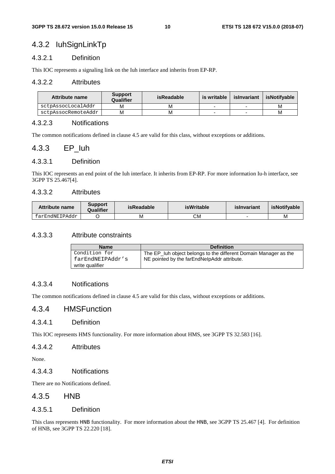### 4.3.2 IuhSignLinkTp

#### 4.3.2.1 Definition

This IOC represents a signaling link on the Iuh interface and inherits from EP-RP.

#### 4.3.2.2 Attributes

| Attribute name      | <b>Support</b><br>Qualifier | isReadable | is writable | islnvariant | isNotifvable |
|---------------------|-----------------------------|------------|-------------|-------------|--------------|
| sctpAssocLocalAddr  | M                           | M          |             |             | М            |
| sctpAssocRemoteAddr | м                           | M          |             |             | М            |

#### 4.3.2.3 Notifications

The common notifications defined in clause 4.5 are valid for this class, without exceptions or additions.

#### 4.3.3 EP\_Iuh

#### 4.3.3.1 Definition

This IOC represents an end point of the Iuh interface. It inherits from EP-RP. For more information Iu-h interface, see 3GPP TS 25.467[4].

#### 4.3.3.2 Attributes

| Attribute name | Support<br>Qualifier | isReadable | isWritable | islnvariant | isNotifvable |
|----------------|----------------------|------------|------------|-------------|--------------|
| farEndNEIPAddr |                      | м          | СM         |             | M            |

#### 4.3.3.3 Attribute constraints

| <b>Name</b>      | <b>Definition</b>                                                |
|------------------|------------------------------------------------------------------|
| Condition for    | The EP_Iuh object belongs to the different Domain Manager as the |
| farEndNEIPAddr's | NE pointed by the farEndNelpAddr attribute.                      |
| write qualifier  |                                                                  |

#### 4.3.3.4 Notifications

The common notifications defined in clause 4.5 are valid for this class, without exceptions or additions.

### 4.3.4 HMSFunction

#### 4.3.4.1 Definition

This IOC represents HMS functionality. For more information about HMS, see 3GPP TS 32.583 [16].

#### 4.3.4.2 Attributes

None.

#### 4.3.4.3 Notifications

There are no Notifications defined.

#### 4.3.5 HNB

#### 4.3.5.1 Definition

This class represents HNB functionality. For more information about the HNB, see 3GPP TS 25.467 [4]. For definition of HNB, see 3GPP TS 22.220 [18].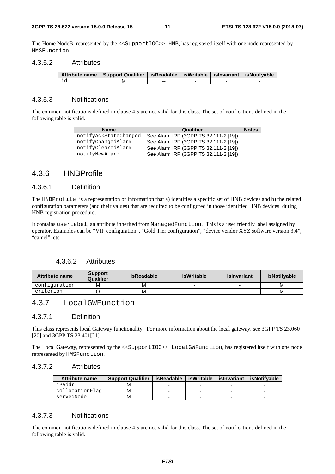The Home NodeB, represented by the <<SupportIOC>> HNB, has registered itself with one node represented by HMSFunction.

#### 4.3.5.2 Attributes

| Attribute name   Support Qualifier   isReadable   isWritable   isInvariant   isNotifyable |     |  |  |
|-------------------------------------------------------------------------------------------|-----|--|--|
| M                                                                                         | $-$ |  |  |

#### 4.3.5.3 Notifications

The common notifications defined in clause 4.5 are not valid for this class. The set of notifications defined in the following table is valid.

| <b>Name</b>           | Qualifier                             | <b>Notes</b> |
|-----------------------|---------------------------------------|--------------|
| notifyAckStateChanged | See Alarm IRP (3GPP TS 32.111-2 [19]) |              |
| notifyChangedAlarm    | See Alarm IRP (3GPP TS 32.111-2 [19]) |              |
| notifyClearedAlarm    | See Alarm IRP (3GPP TS 32.111-2 [19]) |              |
| notifyNewAlarm        | See Alarm IRP (3GPP TS 32.111-2 [19]) |              |

### 4.3.6 HNBProfile

#### 4.3.6.1 Definition

The HNBProfile is a representation of information that a) identifies a specific set of HNB devices and b) the related configuration parameters (and their values) that are required to be configured in those identified HNB devices during HNB registration procedure.

It contains userLabel, an attribute inherited from ManagedFunction. This is a user friendly label assigned by operator. Examples can be "VIP configuration", "Gold Tier configuration", "device vendor XYZ software version 3.4", "camel", etc

#### 4.3.6.2 Attributes

| Attribute name | <b>Support</b><br>Qualifier | isReadable | isWritable | islnvariant | isNotifvable |
|----------------|-----------------------------|------------|------------|-------------|--------------|
| configuration  | м                           | M          |            |             | м            |
| criterion      |                             | м          |            |             | M            |

### 4.3.7 LocalGWFunction

#### 4.3.7.1 Definition

This class represents local Gateway functionality. For more information about the local gateway, see 3GPP TS 23.060 [20] and 3GPP TS 23.401[21].

The Local Gateway, represented by the <<SupportIOC>> LocalGWFunction, has registered itself with one node represented by HMSFunction.

#### 4.3.7.2 Attributes

| <b>Attribute name</b> | <b>Support Qualifier</b> | isReadable | isWritable   islnvariant | isNotifvable |
|-----------------------|--------------------------|------------|--------------------------|--------------|
| iPAddr                |                          |            |                          |              |
| collocationFlag       |                          |            |                          |              |
| servedNode            |                          |            |                          |              |

#### 4.3.7.3 Notifications

The common notifications defined in clause 4.5 are not valid for this class. The set of notifications defined in the following table is valid.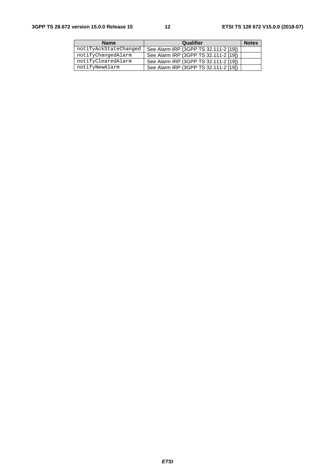| <b>Name</b>           | Qualifier                             | <b>Notes</b> |
|-----------------------|---------------------------------------|--------------|
| notifyAckStateChanged | See Alarm IRP (3GPP TS 32.111-2 [19]) |              |
| notifyChangedAlarm    | See Alarm IRP (3GPP TS 32.111-2 [19]) |              |
| notifyClearedAlarm    | See Alarm IRP (3GPP TS 32.111-2 [19]) |              |
| notifyNewAlarm        | See Alarm IRP (3GPP TS 32.111-2 [19]) |              |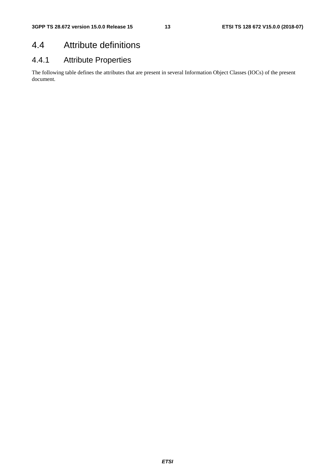# 4.4 Attribute definitions

# 4.4.1 Attribute Properties

The following table defines the attributes that are present in several Information Object Classes (IOCs) of the present document.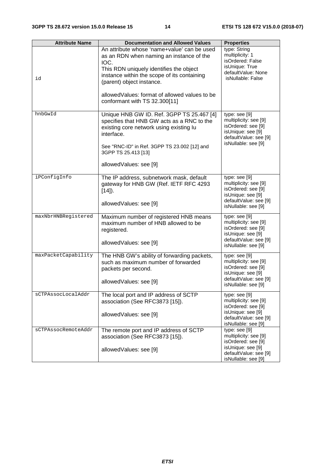| <b>Attribute Name</b> | <b>Documentation and Allowed Values</b>                                                                                                                                                                                                                                                                   | <b>Properties</b>                                                                                                                   |
|-----------------------|-----------------------------------------------------------------------------------------------------------------------------------------------------------------------------------------------------------------------------------------------------------------------------------------------------------|-------------------------------------------------------------------------------------------------------------------------------------|
| id                    | An attribute whose 'name+value' can be used<br>as an RDN when naming an instance of the<br>IOC.<br>This RDN uniquely identifies the object<br>instance within the scope of its containing<br>(parent) object instance.<br>allowed Values: format of allowed values to be<br>conformant with TS 32.300[11] | type: String<br>multiplicity: 1<br>isOrdered: False<br>isUnique: True<br>defaultValue: None<br>isNullable: False                    |
| hnbGwId               | Unique HNB GW ID. Ref. 3GPP TS 25.467 [4]<br>specifies that HNB GW acts as a RNC to the<br>existing core network using existing lu<br>interface.<br>See "RNC-ID" in Ref. 3GPP TS 23.002 [12] and<br>3GPP TS 25.413 [13]<br>allowedValues: see [9]                                                         | type: see [9]<br>multiplicity: see [9]<br>isOrdered: see [9]<br>isUnique: see [9]<br>defaultValue: see [9]<br>isNullable: see [9]   |
| iPConfigInfo          | The IP address, subnetwork mask, default<br>gateway for HNB GW (Ref. IETF RFC 4293<br>$[14]$ ).<br>allowedValues: see [9]                                                                                                                                                                                 | type: see [9]<br>multiplicity: see [9]<br>isOrdered: see [9]<br>isUnique: see [9]<br>defaultValue: see [9]<br>isNullable: see [9]   |
| maxNbrHNBRegistered   | Maximum number of registered HNB means<br>maximum number of HNB allowed to be<br>registered.<br>allowedValues: see [9]                                                                                                                                                                                    | type: $see [9]$<br>multiplicity: see [9]<br>isOrdered: see [9]<br>isUnique: see [9]<br>defaultValue: see [9]<br>isNullable: see [9] |
| maxPacketCapability   | The HNB GW's ability of forwarding packets,<br>such as maximum number of forwarded<br>packets per second.<br>allowedValues: see [9]                                                                                                                                                                       | type: $see [9]$<br>multiplicity: see [9]<br>isOrdered: see [9]<br>isUnique: see [9]<br>defaultValue: see [9]<br>isNullable: see [9] |
| sCTPAssocLocalAddr    | The local port and IP address of SCTP<br>association (See RFC3873 [15]).<br>allowedValues: see [9]                                                                                                                                                                                                        | type: see [9]<br>multiplicity: see [9]<br>isOrdered: see [9]<br>isUnique: see [9]<br>defaultValue: see [9]<br>isNullable: see [9]   |
| sCTPAssocRemoteAddr   | The remote port and IP address of SCTP<br>association (See RFC3873 [15]).<br>allowedValues: see [9]                                                                                                                                                                                                       | type: $see [9]$<br>multiplicity: see [9]<br>isOrdered: see [9]<br>isUnique: see [9]<br>defaultValue: see [9]<br>isNullable: see [9] |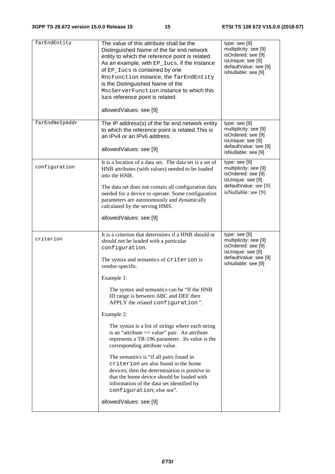| farEndEntity   | The value of this attribute shall be the<br>Distinguished Name of the far end network<br>entity to which the reference point is related.<br>As an example, with EP_Iucs, if the instance<br>of EP_Iucs is contained by one<br>RncFunction instance, the farEndEntity<br>is the Distinguished Name of the<br>MscServerFunction instance to which this<br>lucs reference point is related.<br>allowedValues: see [9]                                                                                                                                                                                                                                                                                                                                                                                                           | type: see [9]<br>multiplicity: see [9]<br>isOrdered: see [9]<br>isUnique: see [9]<br>defaultValue: see [9]<br>isNullable: see [9]   |
|----------------|------------------------------------------------------------------------------------------------------------------------------------------------------------------------------------------------------------------------------------------------------------------------------------------------------------------------------------------------------------------------------------------------------------------------------------------------------------------------------------------------------------------------------------------------------------------------------------------------------------------------------------------------------------------------------------------------------------------------------------------------------------------------------------------------------------------------------|-------------------------------------------------------------------------------------------------------------------------------------|
| farEndNeIpAddr | The IP address(s) of the far end network entity<br>to which the reference point is related. This is<br>an IPv4 or an IPv6 address.<br>allowedValues: see [9]                                                                                                                                                                                                                                                                                                                                                                                                                                                                                                                                                                                                                                                                 | type: $see [9]$<br>multiplicity: see [9]<br>isOrdered: see [9]<br>isUnique: see [9]<br>defaultValue: see [9]<br>isNullable: see [9] |
| configuration  | It is a location of a data set. The data set is a set of<br>HNB attributes (with values) needed to be loaded<br>into the HNB.<br>The data set does not contain all configuration data<br>needed for a device to operate. Some configuration<br>parameters are autonomously and dynamically<br>calculated by the serving HMS.<br>allowedValues: see [9]                                                                                                                                                                                                                                                                                                                                                                                                                                                                       | type: see [9]<br>multiplicity: see [9]<br>isOrdered: see [9]<br>isUnique: see [9]<br>defaultValue: see [9]<br>isNullable: see [9]   |
| criterion      | It is a criterion that determines if a HNB should or<br>should not be loaded with a particular<br>configuration.<br>The syntax and semantics of criterion is<br>vendor-specific.<br>Example 1:<br>The syntax and semantics can be "If the HNB<br>ID range is between ABC and DEF then<br>APPLY the related configuration".<br>Example 2:<br>The syntax is a list of strings where each string<br>is an "attribute $==$ value" pair. An attribute<br>represents a TR-196 parameter. Its value is the<br>corresponding attribute value.<br>The semantics is "if all pairs found in<br>criterion are also found in the home<br>devices, then the determination is positive in<br>that the home device should be loaded with<br>information of the data set identified by<br>configuration; else not".<br>allowedValues: see [9] | type: see [9]<br>multiplicity: see [9]<br>isOrdered: see [9]<br>isUnique: see [9]<br>defaultValue: see [9]<br>isNullable: see [9]   |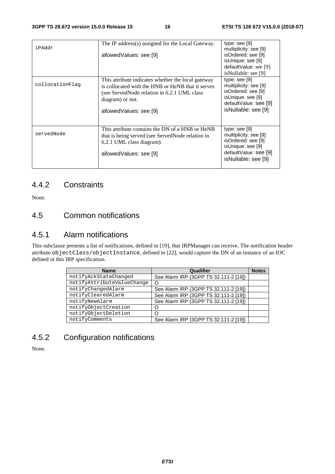| iPAddr          | The IP address(s) assigned for the Local Gateway.<br>allowedValues: see [9]                                                                                                                          | type: $see [9]$<br>multiplicity: see [9]<br>isOrdered: see [9]<br>isUnique: see [9]<br>defaultValue: see [9]<br>isNullable: see [9] |
|-----------------|------------------------------------------------------------------------------------------------------------------------------------------------------------------------------------------------------|-------------------------------------------------------------------------------------------------------------------------------------|
| collocationFlaq | This attribute indicates whether the local gateway<br>is collocated with the HNB or HeNB that it serves<br>(see ServedNode relation in 6.2.1 UML class<br>diagram) or not.<br>allowedValues: see [9] | type: see [9]<br>multiplicity: see [9]<br>isOrdered: see [9]<br>isUnique: see [9]<br>defaultValue: see [9]<br>isNullable: see [9]   |
| servedNode      | This attribute contains the DN of a HNB or HeNB<br>that is being served (see ServedNode relation in<br>6.2.1 UML class diagram).<br>allowedValues: see [9]                                           | type: $see [9]$<br>multiplicity: see [9]<br>isOrdered: see [9]<br>isUnique: see [9]<br>defaultValue: see [9]<br>isNullable: see [9] |

### 4.4.2 Constraints

None.

### 4.5 Common notifications

### 4.5.1 Alarm notifications

This subclause presents a list of notifications, defined in [19], that IRPManager can receive. The notification header attribute objectClass/objectInstance, defined in [22], would capture the DN of an instance of an IOC defined in this IRP specification.

| <b>Name</b>                | <b>Qualifier</b>                      | <b>Notes</b> |
|----------------------------|---------------------------------------|--------------|
| notifyAckStateChanged      | See Alarm IRP (3GPP TS 32.111-2 [19]) |              |
| notifyAttributeValueChange |                                       |              |
| notifyChangedAlarm         | See Alarm IRP (3GPP TS 32.111-2 [19]) |              |
| notifyClearedAlarm         | See Alarm IRP (3GPP TS 32.111-2 [19]) |              |
| notifyNewAlarm             | See Alarm IRP (3GPP TS 32.111-2 [19]) |              |
| notifyObjectCreation       |                                       |              |
| notifyObjectDeletion       |                                       |              |
| notifyComments             | See Alarm IRP (3GPP TS 32.111-2 [19]) |              |

# 4.5.2 Configuration notifications

None.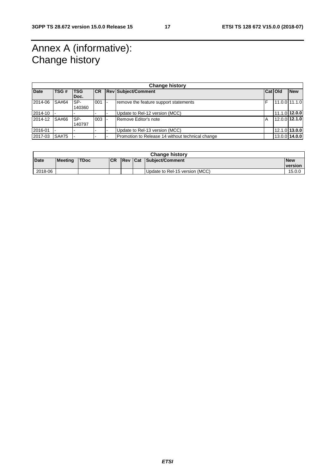# Annex A (informative): Change history

| <b>Change history</b> |             |                    |           |  |                                                                   |   |                 |               |
|-----------------------|-------------|--------------------|-----------|--|-------------------------------------------------------------------|---|-----------------|---------------|
| <b>Date</b>           | <b>TSG#</b> | <b>TSG</b><br>Doc. | <b>CR</b> |  | <b>Rev Subject/Comment</b><br>Cat Old                             |   |                 | <b>New</b>    |
| 2014-06               | SA#64       | SP-<br>140360      | 001       |  | remove the feature support statements                             | F |                 | 11.0.0 11.1.0 |
| 2014-10               |             |                    |           |  | Update to Rel-12 version (MCC)                                    |   |                 | 11.1.0 12.0.0 |
| 2014-12               | SA#66       | SP-<br>140797      | 003       |  | Remove Editor's note                                              | A | $12.0.0$ 12.1.0 |               |
| 2016-01               |             |                    |           |  | Update to Rel-13 version (MCC)                                    |   |                 | 12.1.0 13.0.0 |
| 2017-03               | SA#75       |                    |           |  | 13.0.0 14.0.0<br>Promotion to Release 14 without technical change |   |                 |               |

| <b>Change history</b> |                |       |            |  |  |                                |                       |
|-----------------------|----------------|-------|------------|--|--|--------------------------------|-----------------------|
| <b>Date</b>           | <b>Meeting</b> | 'TDoc | <b>ICR</b> |  |  | <b>Rev Cat Subject/Comment</b> | <b>New</b><br>version |
| 2018-06               |                |       |            |  |  | Update to Rel-15 version (MCC) | 15.0.0                |